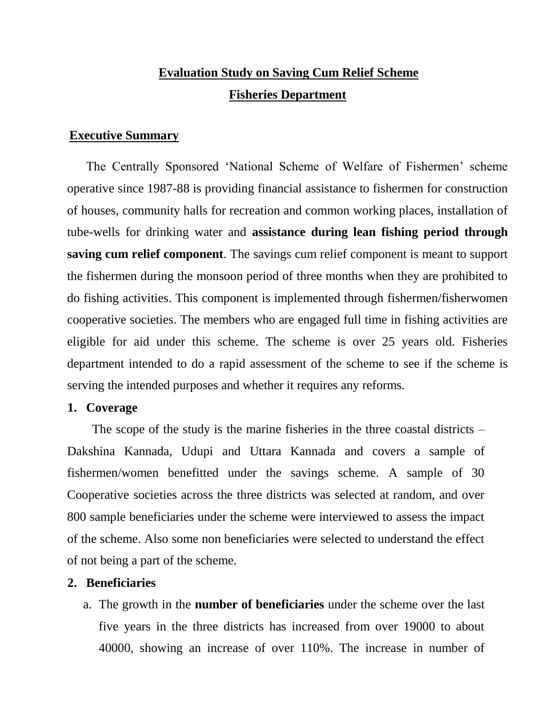# **Evaluation Study on Saving Cum Relief Scheme Fisheries Department**

## **Executive Summary**

The Centrally Sponsored 'National Scheme of Welfare of Fishermen' scheme operative since 1987-88 is providing financial assistance to fishermen for construction of houses, community halls for recreation and common working places, installation of tube-wells for drinking water and **assistance during lean fishing period through saving cum relief component**. The savings cum relief component is meant to support the fishermen during the monsoon period of three months when they are prohibited to do fishing activities. This component is implemented through fishermen/fisherwomen cooperative societies. The members who are engaged full time in fishing activities are eligible for aid under this scheme. The scheme is over 25 years old. Fisheries department intended to do a rapid assessment of the scheme to see if the scheme is serving the intended purposes and whether it requires any reforms.

### **1. Coverage**

The scope of the study is the marine fisheries in the three coastal districts – Dakshina Kannada, Udupi and Uttara Kannada and covers a sample of fishermen/women benefitted under the savings scheme. A sample of 30 Cooperative societies across the three districts was selected at random, and over 800 sample beneficiaries under the scheme were interviewed to assess the impact of the scheme. Also some non beneficiaries were selected to understand the effect of not being a part of the scheme.

## **2. Beneficiaries**

a. The growth in the **number of beneficiaries** under the scheme over the last five years in the three districts has increased from over 19000 to about 40000, showing an increase of over 110%. The increase in number of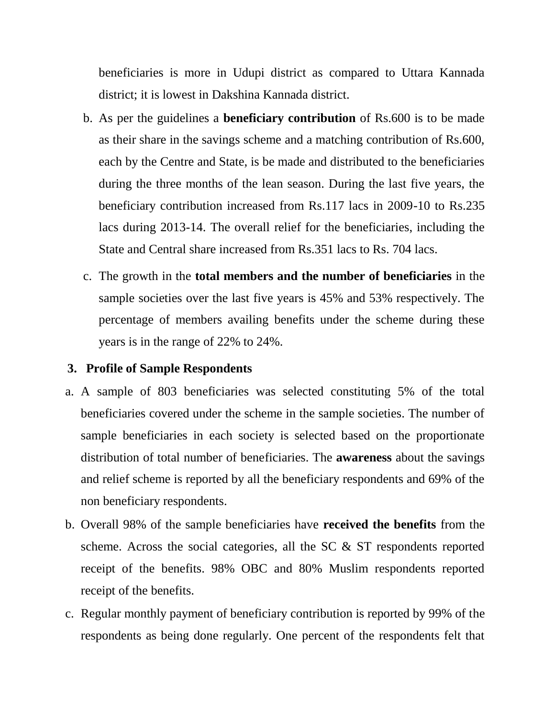beneficiaries is more in Udupi district as compared to Uttara Kannada district; it is lowest in Dakshina Kannada district.

- b. As per the guidelines a **beneficiary contribution** of Rs.600 is to be made as their share in the savings scheme and a matching contribution of Rs.600, each by the Centre and State, is be made and distributed to the beneficiaries during the three months of the lean season. During the last five years, the beneficiary contribution increased from Rs.117 lacs in 2009-10 to Rs.235 lacs during 2013-14. The overall relief for the beneficiaries, including the State and Central share increased from Rs.351 lacs to Rs. 704 lacs.
- c. The growth in the **total members and the number of beneficiaries** in the sample societies over the last five years is 45% and 53% respectively. The percentage of members availing benefits under the scheme during these years is in the range of 22% to 24%.

# **3. Profile of Sample Respondents**

- a. A sample of 803 beneficiaries was selected constituting 5% of the total beneficiaries covered under the scheme in the sample societies. The number of sample beneficiaries in each society is selected based on the proportionate distribution of total number of beneficiaries. The **awareness** about the savings and relief scheme is reported by all the beneficiary respondents and 69% of the non beneficiary respondents.
- b. Overall 98% of the sample beneficiaries have **received the benefits** from the scheme. Across the social categories, all the SC & ST respondents reported receipt of the benefits. 98% OBC and 80% Muslim respondents reported receipt of the benefits.
- c. Regular monthly payment of beneficiary contribution is reported by 99% of the respondents as being done regularly. One percent of the respondents felt that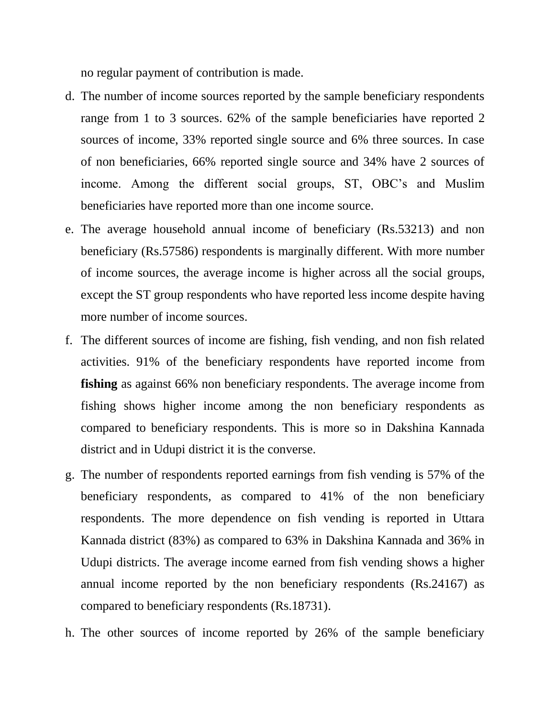no regular payment of contribution is made.

- d. The number of income sources reported by the sample beneficiary respondents range from 1 to 3 sources. 62% of the sample beneficiaries have reported 2 sources of income, 33% reported single source and 6% three sources. In case of non beneficiaries, 66% reported single source and 34% have 2 sources of income. Among the different social groups, ST, OBC's and Muslim beneficiaries have reported more than one income source.
- e. The average household annual income of beneficiary (Rs.53213) and non beneficiary (Rs.57586) respondents is marginally different. With more number of income sources, the average income is higher across all the social groups, except the ST group respondents who have reported less income despite having more number of income sources.
- f. The different sources of income are fishing, fish vending, and non fish related activities. 91% of the beneficiary respondents have reported income from **fishing** as against 66% non beneficiary respondents. The average income from fishing shows higher income among the non beneficiary respondents as compared to beneficiary respondents. This is more so in Dakshina Kannada district and in Udupi district it is the converse.
- g. The number of respondents reported earnings from fish vending is 57% of the beneficiary respondents, as compared to 41% of the non beneficiary respondents. The more dependence on fish vending is reported in Uttara Kannada district (83%) as compared to 63% in Dakshina Kannada and 36% in Udupi districts. The average income earned from fish vending shows a higher annual income reported by the non beneficiary respondents (Rs.24167) as compared to beneficiary respondents (Rs.18731).
- h. The other sources of income reported by 26% of the sample beneficiary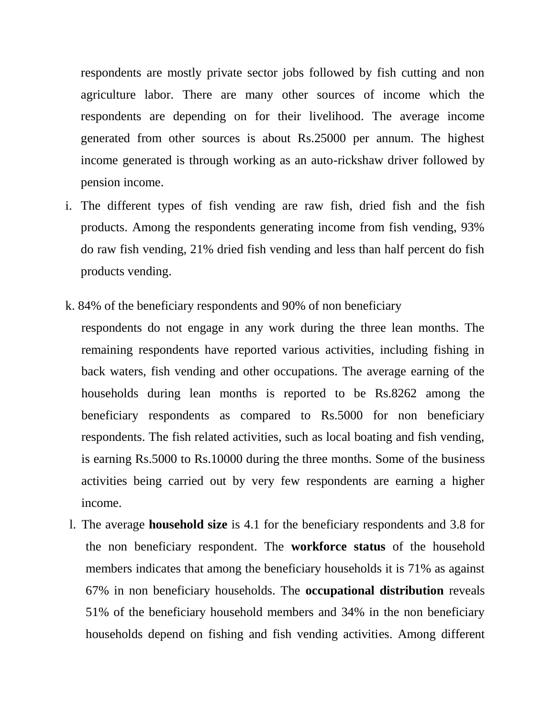respondents are mostly private sector jobs followed by fish cutting and non agriculture labor. There are many other sources of income which the respondents are depending on for their livelihood. The average income generated from other sources is about Rs.25000 per annum. The highest income generated is through working as an auto-rickshaw driver followed by pension income.

- i. The different types of fish vending are raw fish, dried fish and the fish products. Among the respondents generating income from fish vending, 93% do raw fish vending, 21% dried fish vending and less than half percent do fish products vending.
- k. 84% of the beneficiary respondents and 90% of non beneficiary
- respondents do not engage in any work during the three lean months. The remaining respondents have reported various activities, including fishing in back waters, fish vending and other occupations. The average earning of the households during lean months is reported to be Rs.8262 among the beneficiary respondents as compared to Rs.5000 for non beneficiary respondents. The fish related activities, such as local boating and fish vending, is earning Rs.5000 to Rs.10000 during the three months. Some of the business activities being carried out by very few respondents are earning a higher income.
- l. The average **household size** is 4.1 for the beneficiary respondents and 3.8 for the non beneficiary respondent. The **workforce status** of the household members indicates that among the beneficiary households it is 71% as against 67% in non beneficiary households. The **occupational distribution** reveals 51% of the beneficiary household members and 34% in the non beneficiary households depend on fishing and fish vending activities. Among different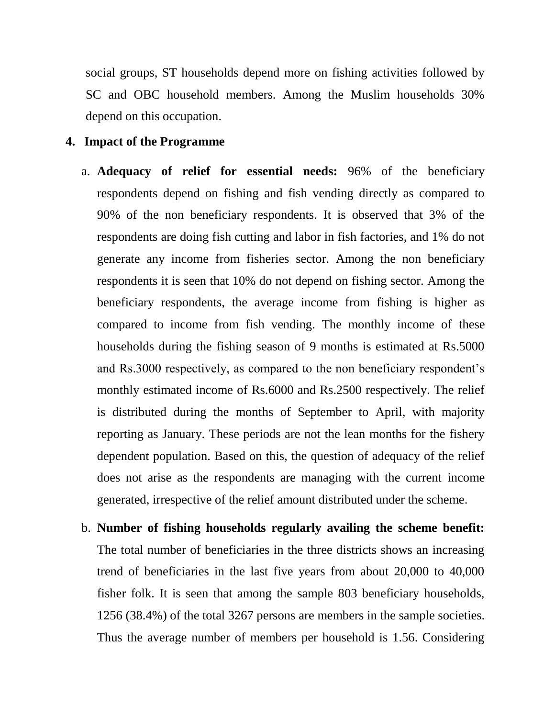social groups, ST households depend more on fishing activities followed by SC and OBC household members. Among the Muslim households 30% depend on this occupation.

#### **4. Impact of the Programme**

- a. **Adequacy of relief for essential needs:** 96% of the beneficiary respondents depend on fishing and fish vending directly as compared to 90% of the non beneficiary respondents. It is observed that 3% of the respondents are doing fish cutting and labor in fish factories, and 1% do not generate any income from fisheries sector. Among the non beneficiary respondents it is seen that 10% do not depend on fishing sector. Among the beneficiary respondents, the average income from fishing is higher as compared to income from fish vending. The monthly income of these households during the fishing season of 9 months is estimated at Rs.5000 and Rs.3000 respectively, as compared to the non beneficiary respondent's monthly estimated income of Rs.6000 and Rs.2500 respectively. The relief is distributed during the months of September to April, with majority reporting as January. These periods are not the lean months for the fishery dependent population. Based on this, the question of adequacy of the relief does not arise as the respondents are managing with the current income generated, irrespective of the relief amount distributed under the scheme.
- b. **Number of fishing households regularly availing the scheme benefit:**  The total number of beneficiaries in the three districts shows an increasing trend of beneficiaries in the last five years from about 20,000 to 40,000 fisher folk. It is seen that among the sample 803 beneficiary households, 1256 (38.4%) of the total 3267 persons are members in the sample societies. Thus the average number of members per household is 1.56. Considering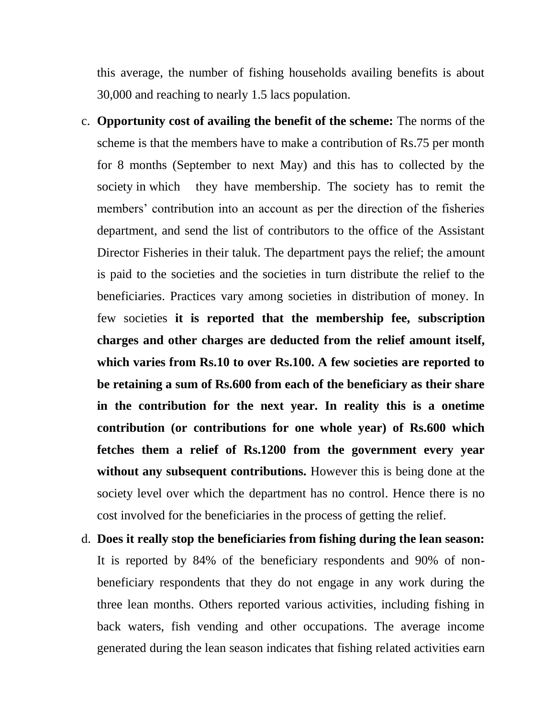this average, the number of fishing households availing benefits is about 30,000 and reaching to nearly 1.5 lacs population.

- c. **Opportunity cost of availing the benefit of the scheme:** The norms of the scheme is that the members have to make a contribution of Rs.75 per month for 8 months (September to next May) and this has to collected by the society in which they have membership. The society has to remit the members' contribution into an account as per the direction of the fisheries department, and send the list of contributors to the office of the Assistant Director Fisheries in their taluk. The department pays the relief; the amount is paid to the societies and the societies in turn distribute the relief to the beneficiaries. Practices vary among societies in distribution of money. In few societies **it is reported that the membership fee, subscription charges and other charges are deducted from the relief amount itself, which varies from Rs.10 to over Rs.100. A few societies are reported to be retaining a sum of Rs.600 from each of the beneficiary as their share in the contribution for the next year. In reality this is a onetime contribution (or contributions for one whole year) of Rs.600 which fetches them a relief of Rs.1200 from the government every year without any subsequent contributions.** However this is being done at the society level over which the department has no control. Hence there is no cost involved for the beneficiaries in the process of getting the relief.
- d. **Does it really stop the beneficiaries from fishing during the lean season:**  It is reported by 84% of the beneficiary respondents and 90% of nonbeneficiary respondents that they do not engage in any work during the three lean months. Others reported various activities, including fishing in back waters, fish vending and other occupations. The average income generated during the lean season indicates that fishing related activities earn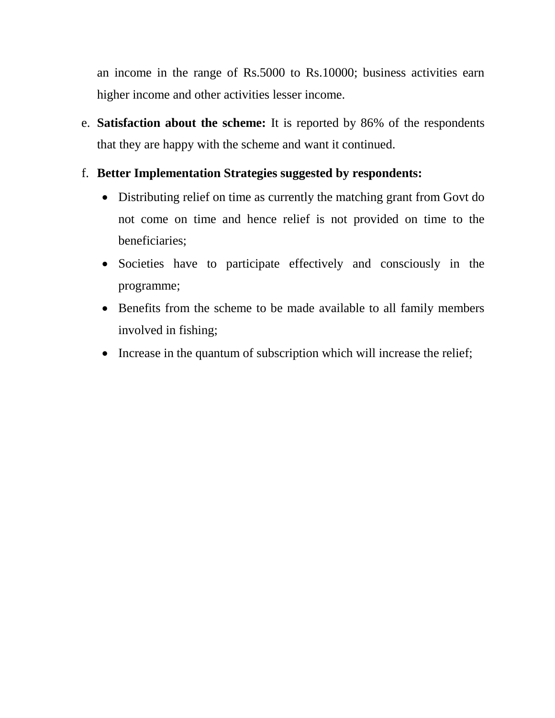an income in the range of Rs.5000 to Rs.10000; business activities earn higher income and other activities lesser income.

e. **Satisfaction about the scheme:** It is reported by 86% of the respondents that they are happy with the scheme and want it continued.

# f. **Better Implementation Strategies suggested by respondents:**

- Distributing relief on time as currently the matching grant from Govt do not come on time and hence relief is not provided on time to the beneficiaries;
- Societies have to participate effectively and consciously in the programme;
- Benefits from the scheme to be made available to all family members involved in fishing;
- Increase in the quantum of subscription which will increase the relief;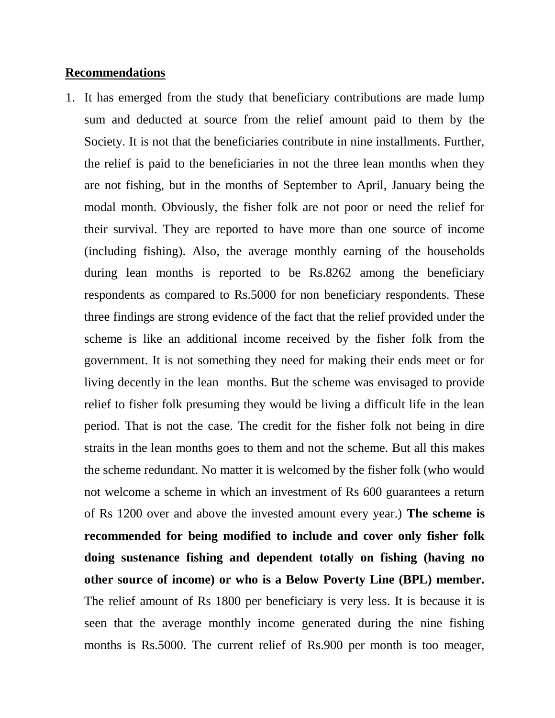#### **Recommendations**

1. It has emerged from the study that beneficiary contributions are made lump sum and deducted at source from the relief amount paid to them by the Society. It is not that the beneficiaries contribute in nine installments. Further, the relief is paid to the beneficiaries in not the three lean months when they are not fishing, but in the months of September to April, January being the modal month. Obviously, the fisher folk are not poor or need the relief for their survival. They are reported to have more than one source of income (including fishing). Also, the average monthly earning of the households during lean months is reported to be Rs.8262 among the beneficiary respondents as compared to Rs.5000 for non beneficiary respondents. These three findings are strong evidence of the fact that the relief provided under the scheme is like an additional income received by the fisher folk from the government. It is not something they need for making their ends meet or for living decently in the lean months. But the scheme was envisaged to provide relief to fisher folk presuming they would be living a difficult life in the lean period. That is not the case. The credit for the fisher folk not being in dire straits in the lean months goes to them and not the scheme. But all this makes the scheme redundant. No matter it is welcomed by the fisher folk (who would not welcome a scheme in which an investment of Rs 600 guarantees a return of Rs 1200 over and above the invested amount every year.) **The scheme is recommended for being modified to include and cover only fisher folk doing sustenance fishing and dependent totally on fishing (having no other source of income) or who is a Below Poverty Line (BPL) member.**  The relief amount of Rs 1800 per beneficiary is very less. It is because it is seen that the average monthly income generated during the nine fishing months is Rs.5000. The current relief of Rs.900 per month is too meager,